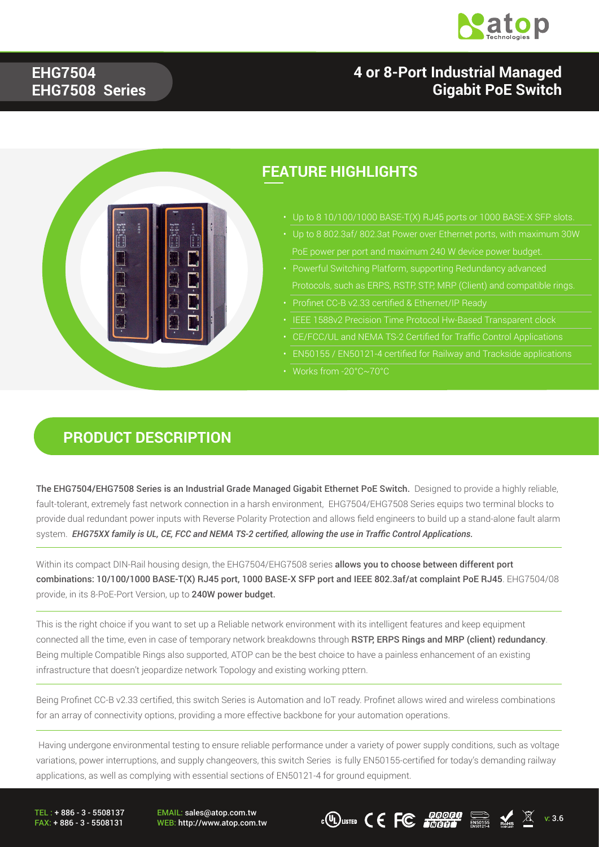

### **4 or 8-Port Industrial Managed Gigabit PoE Switch**

#### **EHG7504 EHG7508 Series**



#### **FEATURE HIGHLIGHTS**

- Up to 8 10/100/1000 BASE-T(X) RJ45 ports or 1000 BASE-X SFP slots.
- 
- 
- 
- 
- CE/FCC/UL and NEMA TS-2 Certified for Traffic Control Applications
- EN50155 / EN50121-4 certified for Railway and Trackside applications
- Works from -20°C~70°C

#### **PRODUCT DESCRIPTION**

The EHG7504/EHG7508 Series is an Industrial Grade Managed Gigabit Ethernet PoE Switch. Designed to provide a highly reliable, fault-tolerant, extremely fast network connection in a harsh environment, EHG7504/EHG7508 Series equips two terminal blocks to provide dual redundant power inputs with Reverse Polarity Protection and allows field engineers to build up a stand-alone fault alarm system. *EHG75XX family is UL, CE, FCC and NEMA TS-2 certified, allowing the use in Traffic Control Applications.*

Within its compact DIN-Rail housing design, the EHG7504/EHG7508 series allows you to choose between different port combinations: 10/100/1000 BASE-T(X) RJ45 port, 1000 BASE-X SFP port and IEEE 802.3af/at complaint PoE RJ45. EHG7504/08 provide, in its 8-PoE-Port Version, up to 240W power budget.

This is the right choice if you want to set up a Reliable network environment with its intelligent features and keep equipment connected all the time, even in case of temporary network breakdowns through RSTP, ERPS Rings and MRP (client) redundancy. Being multiple Compatible Rings also supported, ATOP can be the best choice to have a painless enhancement of an existing infrastructure that doesn't jeopardize network Topology and existing working pttern.

Being Profinet CC-B v2.33 certified, this switch Series is Automation and IoT ready. Profinet allows wired and wireless combinations for an array of connectivity options, providing a more effective backbone for your automation operations.

 Having undergone environmental testing to ensure reliable performance under a variety of power supply conditions, such as voltage variations, power interruptions, and supply changeovers, this switch Series is fully EN50155-certified for today's demanding railway applications, as well as complying with essential sections of EN50121-4 for ground equipment.

TEL : + 886 - 3 - 5508137 FAX: + 886 - 3 - 5508131 EMAIL: sales@atop.com.tw

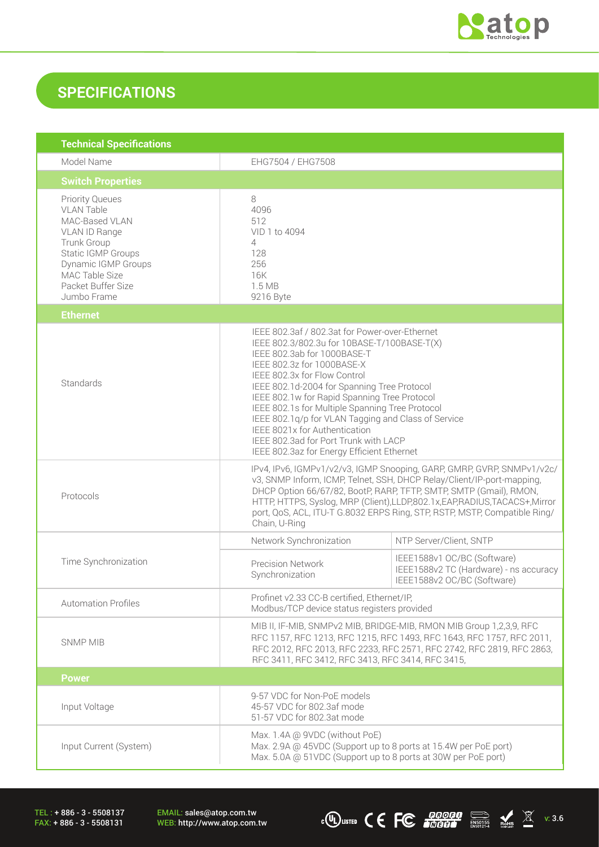

### **SPECIFICATIONS**

| <b>Technical Specifications</b>                                                                                                                                                                          |                                                                                                                                                                                                                                                                                                                                                                                                                                                                                                                             |                                                                                                      |  |  |
|----------------------------------------------------------------------------------------------------------------------------------------------------------------------------------------------------------|-----------------------------------------------------------------------------------------------------------------------------------------------------------------------------------------------------------------------------------------------------------------------------------------------------------------------------------------------------------------------------------------------------------------------------------------------------------------------------------------------------------------------------|------------------------------------------------------------------------------------------------------|--|--|
| Model Name                                                                                                                                                                                               | EHG7504 / EHG7508                                                                                                                                                                                                                                                                                                                                                                                                                                                                                                           |                                                                                                      |  |  |
| <b>Switch Properties</b>                                                                                                                                                                                 |                                                                                                                                                                                                                                                                                                                                                                                                                                                                                                                             |                                                                                                      |  |  |
| <b>Priority Queues</b><br><b>VLAN Table</b><br>MAC-Based VLAN<br>VLAN ID Range<br>Trunk Group<br><b>Static IGMP Groups</b><br>Dynamic IGMP Groups<br>MAC Table Size<br>Packet Buffer Size<br>Jumbo Frame | 8<br>4096<br>512<br>VID 1 to 4094<br>4<br>128<br>256<br>16K<br>1.5MB<br>9216 Byte                                                                                                                                                                                                                                                                                                                                                                                                                                           |                                                                                                      |  |  |
| <b>Ethernet</b>                                                                                                                                                                                          |                                                                                                                                                                                                                                                                                                                                                                                                                                                                                                                             |                                                                                                      |  |  |
| Standards                                                                                                                                                                                                | IEEE 802.3af / 802.3at for Power-over-Ethernet<br>IEEE 802.3/802.3u for 10BASE-T/100BASE-T(X)<br>IEEE 802.3ab for 1000BASE-T<br>IEEE 802.3z for 1000BASE-X<br>IEEE 802.3x for Flow Control<br>IEEE 802.1d-2004 for Spanning Tree Protocol<br>IEEE 802.1w for Rapid Spanning Tree Protocol<br>IEEE 802.1s for Multiple Spanning Tree Protocol<br>IEEE 802.1q/p for VLAN Tagging and Class of Service<br>IEEE 8021x for Authentication<br>IEEE 802.3ad for Port Trunk with LACP<br>IEEE 802.3az for Energy Efficient Ethernet |                                                                                                      |  |  |
| Protocols                                                                                                                                                                                                | IPv4, IPv6, IGMPv1/v2/v3, IGMP Snooping, GARP, GMRP, GVRP, SNMPv1/v2c/<br>v3, SNMP Inform, ICMP, Telnet, SSH, DHCP Relay/Client/IP-port-mapping,<br>DHCP Option 66/67/82, BootP, RARP, TFTP, SMTP, SMTP (Gmail), RMON,<br>HTTP, HTTPS, Syslog, MRP (Client), LLDP, 802.1x, EAP, RADIUS, TACACS+, Mirror<br>port, QoS, ACL, ITU-T G.8032 ERPS Ring, STP, RSTP, MSTP, Compatible Ring/<br>Chain, U-Ring                                                                                                                       |                                                                                                      |  |  |
|                                                                                                                                                                                                          | Network Synchronization                                                                                                                                                                                                                                                                                                                                                                                                                                                                                                     | NTP Server/Client, SNTP                                                                              |  |  |
| Time Synchronization                                                                                                                                                                                     | <b>Precision Network</b><br>Synchronization                                                                                                                                                                                                                                                                                                                                                                                                                                                                                 | IEEE1588v1 OC/BC (Software)<br>IEEE1588v2 TC (Hardware) - ns accuracy<br>IEEE1588v2 OC/BC (Software) |  |  |
| <b>Automation Profiles</b>                                                                                                                                                                               | Profinet v2.33 CC-B certified, Ethernet/IP,<br>Modbus/TCP device status registers provided                                                                                                                                                                                                                                                                                                                                                                                                                                  |                                                                                                      |  |  |
| <b>SNMP MIB</b>                                                                                                                                                                                          | MIB II, IF-MIB, SNMPv2 MIB, BRIDGE-MIB, RMON MIB Group 1,2,3,9, RFC<br>RFC 1157, RFC 1213, RFC 1215, RFC 1493, RFC 1643, RFC 1757, RFC 2011,<br>RFC 2012, RFC 2013, RFC 2233, RFC 2571, RFC 2742, RFC 2819, RFC 2863,<br>RFC 3411, RFC 3412, RFC 3413, RFC 3414, RFC 3415,                                                                                                                                                                                                                                                  |                                                                                                      |  |  |
| <b>Power</b>                                                                                                                                                                                             |                                                                                                                                                                                                                                                                                                                                                                                                                                                                                                                             |                                                                                                      |  |  |
| Input Voltage                                                                                                                                                                                            | 9-57 VDC for Non-PoE models<br>45-57 VDC for 802.3af mode<br>51-57 VDC for 802.3at mode                                                                                                                                                                                                                                                                                                                                                                                                                                     |                                                                                                      |  |  |
| Input Current (System)                                                                                                                                                                                   | Max. 1.4A @ 9VDC (without PoE)<br>Max. 2.9A @ 45VDC (Support up to 8 ports at 15.4W per PoE port)<br>Max. 5.0A @ 51VDC (Support up to 8 ports at 30W per PoE port)                                                                                                                                                                                                                                                                                                                                                          |                                                                                                      |  |  |

TEL : + 886 - 3 - 5508137 FAX: + 886 - 3 - 5508131

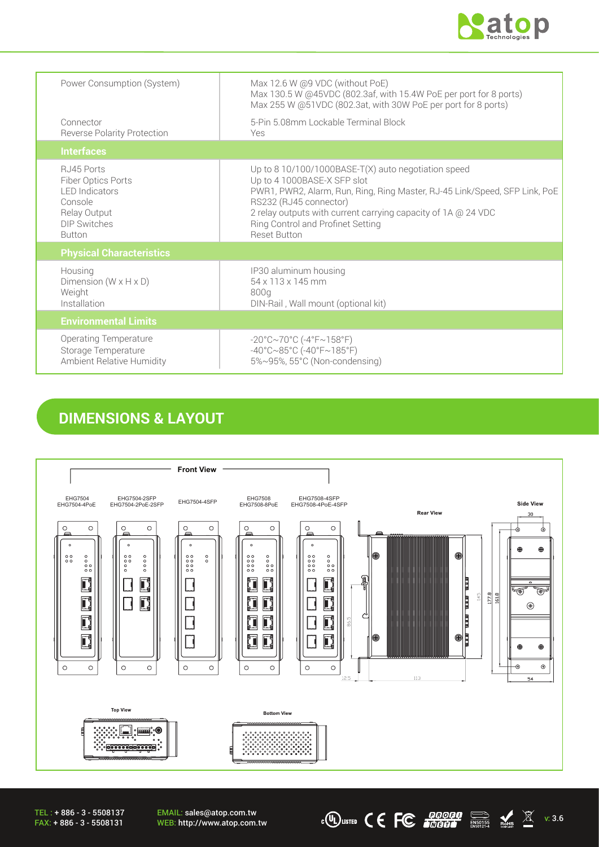

| Power Consumption (System)                                                                                                   | Max 12.6 W @9 VDC (without PoE)<br>Max 130.5 W @45VDC (802.3af, with 15.4W PoE per port for 8 ports)<br>Max 255 W @51VDC (802.3at, with 30W PoE per port for 8 ports)                                                                                                                                                   |
|------------------------------------------------------------------------------------------------------------------------------|-------------------------------------------------------------------------------------------------------------------------------------------------------------------------------------------------------------------------------------------------------------------------------------------------------------------------|
| Connector<br><b>Reverse Polarity Protection</b>                                                                              | 5-Pin 5.08mm Lockable Terminal Block<br>Yes                                                                                                                                                                                                                                                                             |
| <b>Interfaces</b>                                                                                                            |                                                                                                                                                                                                                                                                                                                         |
| RJ45 Ports<br>Fiber Optics Ports<br><b>LED</b> Indicators<br>Console<br>Relay Output<br><b>DIP Switches</b><br><b>Button</b> | Up to 8 10/100/1000BASE-T(X) auto negotiation speed<br>Up to 4 1000BASE-X SFP slot<br>PWR1, PWR2, Alarm, Run, Ring, Ring Master, RJ-45 Link/Speed, SFP Link, PoE<br>RS232 (RJ45 connector)<br>2 relay outputs with current carrying capacity of 1A @ 24 VDC<br>Ring Control and Profinet Setting<br><b>Reset Button</b> |
| <b>Physical Characteristics</b>                                                                                              |                                                                                                                                                                                                                                                                                                                         |
| Housing<br>Dimension $(W \times H \times D)$<br>Weight<br>Installation                                                       | IP30 aluminum housing<br>54 x 113 x 145 mm<br>800g<br>DIN-Rail, Wall mount (optional kit)                                                                                                                                                                                                                               |
| <b>Environmental Limits</b>                                                                                                  |                                                                                                                                                                                                                                                                                                                         |
| Operating Temperature<br>Storage Temperature<br><b>Ambient Relative Humidity</b>                                             | $-20^{\circ}$ C $\sim$ 70 $^{\circ}$ C (-4 $^{\circ}$ F $\sim$ 158 $^{\circ}$ F)<br>$-40^{\circ}$ C $\sim$ 85°C (-40°F $\sim$ 185°F)<br>5%~95%, 55°C (Non-condensing)                                                                                                                                                   |

### **DIMENSIONS & LAYOUT**



 $\overline{\text{C}}$  (U) LISTED  $\overline{\text{C}}$   $\overline{\text{C}}$   $\overline{\text{C}}$   $\overline{\text{C}}$   $\overline{\text{C}}$   $\overline{\text{C}}$   $\overline{\text{C}}$   $\overline{\text{C}}$   $\overline{\text{C}}$   $\overline{\text{C}}$   $\overline{\text{C}}$   $\overline{\text{C}}$   $\overline{\text{C}}$   $\overline{\text{C}}$   $\overline{\text{C}}$   $\overline{\text{C}}$   $\overline{\text{C}}$   $\overline{\text{C}}$ 

TEL : + 886 - 3 - 5508137 FAX: + 886 - 3 - 5508131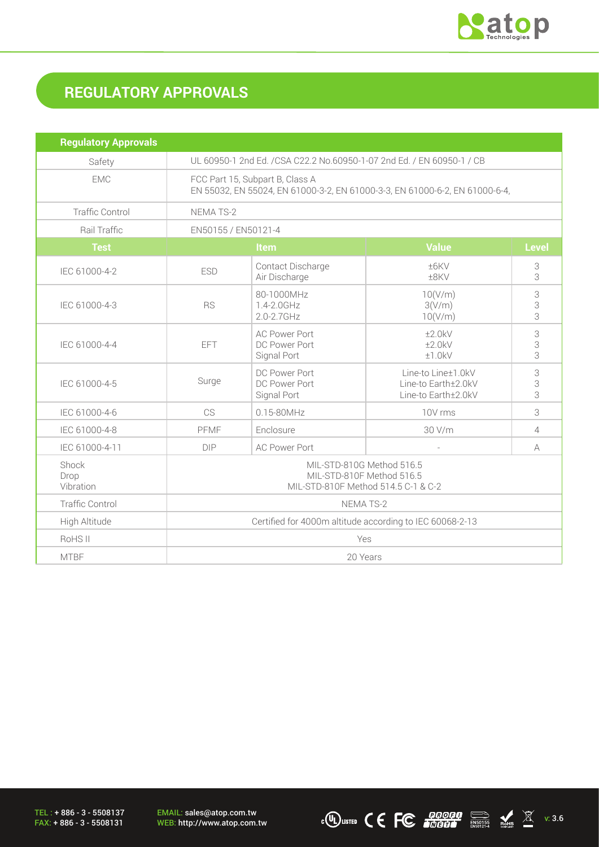

# **REGULATORY APPROVALS**

| <b>Regulatory Approvals</b> |                                                                                                                |                                                      |                                                                  |                |
|-----------------------------|----------------------------------------------------------------------------------------------------------------|------------------------------------------------------|------------------------------------------------------------------|----------------|
| Safety                      | UL 60950-1 2nd Ed. / CSA C22.2 No.60950-1-07 2nd Ed. / EN 60950-1 / CB                                         |                                                      |                                                                  |                |
| <b>EMC</b>                  | FCC Part 15, Subpart B, Class A<br>EN 55032, EN 55024, EN 61000-3-2, EN 61000-3-3, EN 61000-6-2, EN 61000-6-4, |                                                      |                                                                  |                |
| <b>Traffic Control</b>      | <b>NEMATS-2</b>                                                                                                |                                                      |                                                                  |                |
| Rail Traffic                | EN50155 / EN50121-4                                                                                            |                                                      |                                                                  |                |
| <b>Test</b>                 | <b>Value</b><br><b>Level</b><br>Item                                                                           |                                                      |                                                                  |                |
| IEC 61000-4-2               | <b>ESD</b>                                                                                                     | Contact Discharge<br>Air Discharge                   | ±6KV<br>±8KV                                                     | 3<br>3         |
| IEC 61000-4-3               | <b>RS</b>                                                                                                      | 80-1000MHz<br>1.4-2.0GHz<br>2.0-2.7GHz               | 10(V/m)<br>3(V/m)<br>10(V/m)                                     | 3<br>3<br>3    |
| IEC 61000-4-4               | EFT                                                                                                            | <b>AC Power Port</b><br>DC Power Port<br>Signal Port | ±2.0kV<br>±2.0kV<br>±1.0kV                                       | 3<br>3<br>3    |
| IEC 61000-4-5               | Surge                                                                                                          | DC Power Port<br>DC Power Port<br>Signal Port        | Line-to Line±1.0kV<br>Line-to Earth±2.0kV<br>Line-to Earth±2.0kV | 3<br>3<br>3    |
| IEC 61000-4-6               | CS                                                                                                             | 0.15-80MHz                                           | 10V rms                                                          | 3              |
| IEC 61000-4-8               | PFMF                                                                                                           | Enclosure                                            | 30 V/m                                                           | $\overline{4}$ |
| IEC 61000-4-11              | <b>DIP</b>                                                                                                     | <b>AC Power Port</b>                                 |                                                                  | A              |
| Shock<br>Drop<br>Vibration  | MIL-STD-810G Method 516.5<br>MIL-STD-810F Method 516.5<br>MIL-STD-810F Method 514.5 C-1 & C-2                  |                                                      |                                                                  |                |
| <b>Traffic Control</b>      | NEMA TS-2                                                                                                      |                                                      |                                                                  |                |
| High Altitude               | Certified for 4000m altitude according to IEC 60068-2-13                                                       |                                                      |                                                                  |                |
| RoHS <sub>II</sub>          | Yes                                                                                                            |                                                      |                                                                  |                |
| <b>MTBF</b>                 | 20 Years                                                                                                       |                                                      |                                                                  |                |

TEL : + 886 - 3 - 5508137 FAX: + 886 - 3 - 5508131